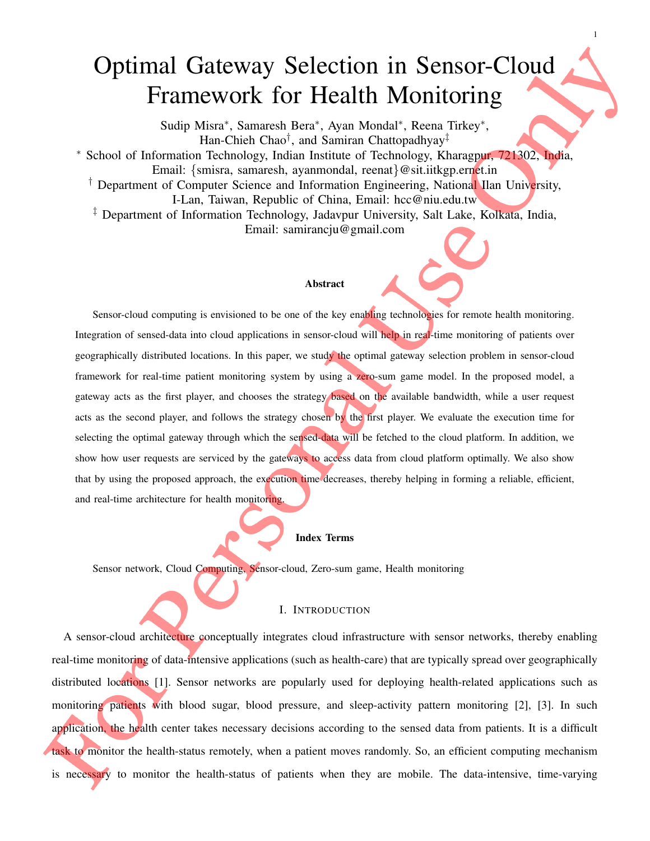# Optimal Gateway Selection in Sensor-Cloud Framework for Health Monitoring

1

Sudip Misra<sup>∗</sup> , Samaresh Bera<sup>∗</sup> , Ayan Mondal<sup>∗</sup> , Reena Tirkey<sup>∗</sup> , Han-Chieh Chao<sup>†</sup>, and Samiran Chattopadhyay<sup>‡</sup> <sup>∗</sup> School of Information Technology, Indian Institute of Technology, Kharagpur, 721302, India, Email: {smisra, samaresh, ayanmondal, reenat}@sit.iitkgp.ernet.in <sup>†</sup> Department of Computer Science and Information Engineering, National Ilan University, I-Lan, Taiwan, Republic of China, Email: hcc@niu.edu.tw ‡ Department of Information Technology, Jadavpur University, Salt Lake, Kolkata, India, Email: samirancju@gmail.com

#### Abstract

Sensor-cloud computing is envisioned to be one of the key enabling technologies for remote health monitoring. Integration of sensed-data into cloud applications in sensor-cloud will help in real-time monitoring of patients over geographically distributed locations. In this paper, we study the optimal gateway selection problem in sensor-cloud framework for real-time patient monitoring system by using a zero-sum game model. In the proposed model, a gateway acts as the first player, and chooses the strategy based on the available bandwidth, while a user request acts as the second player, and follows the strategy chosen by the first player. We evaluate the execution time for selecting the optimal gateway through which the sensed-data will be fetched to the cloud platform. In addition, we show how user requests are serviced by the gateways to access data from cloud platform optimally. We also show that by using the proposed approach, the execution time decreases, thereby helping in forming a reliable, efficient, and real-time architecture for health monitoring.

#### Index Terms

Sensor network, Cloud Computing, Sensor-cloud, Zero-sum game, Health monitoring

#### I. INTRODUCTION

A sensor-cloud architecture conceptually integrates cloud infrastructure with sensor networks, thereby enabling real-time monitoring of data-intensive applications (such as health-care) that are typically spread over geographically distributed locations [1]. Sensor networks are popularly used for deploying health-related applications such as monitoring patients with blood sugar, blood pressure, and sleep-activity pattern monitoring [2], [3]. In such application, the health center takes necessary decisions according to the sensed data from patients. It is a difficult task to monitor the health-status remotely, when a patient moves randomly. So, an efficient computing mechanism is necessary to monitor the health-status of patients when they are mobile. The data-intensive, time-varying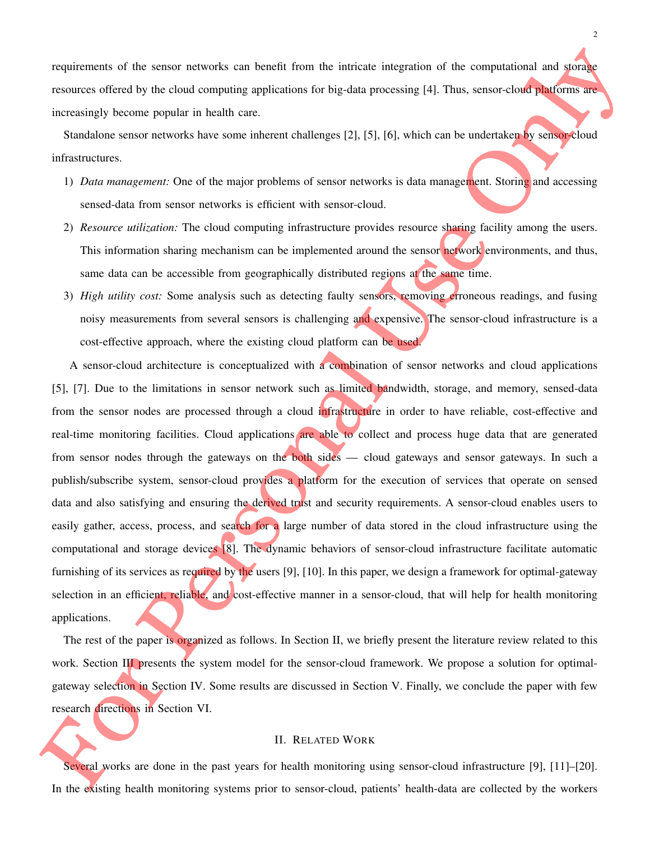requirements of the sensor networks can benefit from the intricate integration of the computational and storage resources offered by the cloud computing applications for big-data processing [4]. Thus, sensor-cloud platforms are increasingly become popular in health care.

Standalone sensor networks have some inherent challenges [2], [5], [6], which can be undertaken by sensor-cloud infrastructures.

- 1) *Data management:* One of the major problems of sensor networks is data management. Storing and accessing sensed-data from sensor networks is efficient with sensor-cloud.
- 2) *Resource utilization:* The cloud computing infrastructure provides resource sharing facility among the users. This information sharing mechanism can be implemented around the sensor network environments, and thus, same data can be accessible from geographically distributed regions at the same time.
- 3) *High utility cost:* Some analysis such as detecting faulty sensors, removing erroneous readings, and fusing noisy measurements from several sensors is challenging and expensive. The sensor-cloud infrastructure is a cost-effective approach, where the existing cloud platform can be used.

A sensor-cloud architecture is conceptualized with a combination of sensor networks and cloud applications [5], [7]. Due to the limitations in sensor network such as limited bandwidth, storage, and memory, sensed-data from the sensor nodes are processed through a cloud infrastructure in order to have reliable, cost-effective and real-time monitoring facilities. Cloud applications are able to collect and process huge data that are generated from sensor nodes through the gateways on the both sides — cloud gateways and sensor gateways. In such a publish/subscribe system, sensor-cloud provides a platform for the execution of services that operate on sensed data and also satisfying and ensuring the derived trust and security requirements. A sensor-cloud enables users to easily gather, access, process, and search for a large number of data stored in the cloud infrastructure using the computational and storage devices [8]. The dynamic behaviors of sensor-cloud infrastructure facilitate automatic furnishing of its services as required by the users [9], [10]. In this paper, we design a framework for optimal-gateway selection in an efficient, reliable, and cost-effective manner in a sensor-cloud, that will help for health monitoring applications.

The rest of the paper is organized as follows. In Section II, we briefly present the literature review related to this work. Section III presents the system model for the sensor-cloud framework. We propose a solution for optimalgateway selection in Section IV. Some results are discussed in Section V. Finally, we conclude the paper with few research directions in Section VI.

#### II. RELATED WORK

Several works are done in the past years for health monitoring using sensor-cloud infrastructure [9], [11]–[20]. In the existing health monitoring systems prior to sensor-cloud, patients' health-data are collected by the workers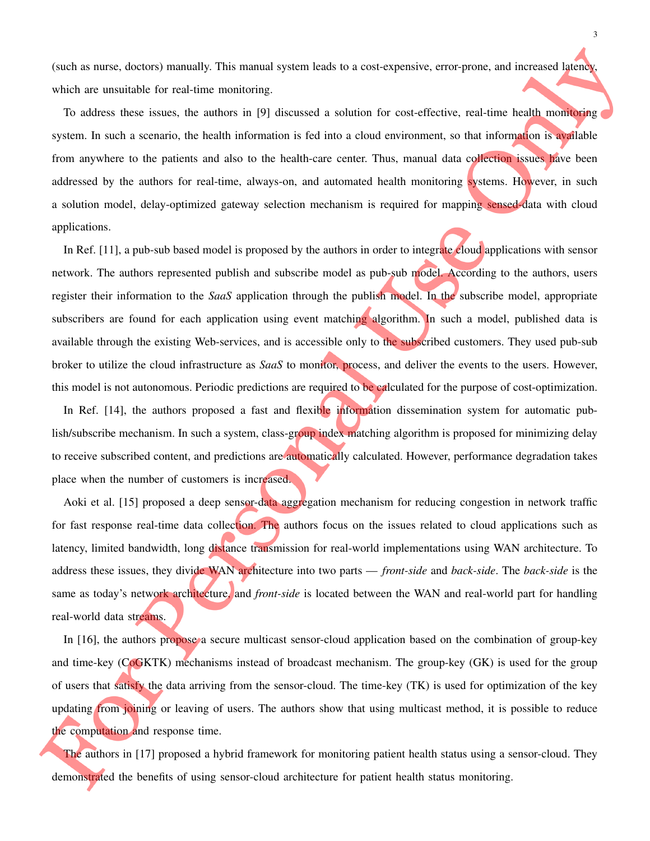(such as nurse, doctors) manually. This manual system leads to a cost-expensive, error-prone, and increased latency, which are unsuitable for real-time monitoring.

To address these issues, the authors in [9] discussed a solution for cost-effective, real-time health monitoring system. In such a scenario, the health information is fed into a cloud environment, so that information is available from anywhere to the patients and also to the health-care center. Thus, manual data collection issues have been addressed by the authors for real-time, always-on, and automated health monitoring systems. However, in such a solution model, delay-optimized gateway selection mechanism is required for mapping sensed-data with cloud applications.

In Ref. [11], a pub-sub based model is proposed by the authors in order to integrate cloud applications with sensor network. The authors represented publish and subscribe model as pub-sub model. According to the authors, users register their information to the *SaaS* application through the publish model. In the subscribe model, appropriate subscribers are found for each application using event matching algorithm. In such a model, published data is available through the existing Web-services, and is accessible only to the subscribed customers. They used pub-sub broker to utilize the cloud infrastructure as *SaaS* to monitor, process, and deliver the events to the users. However, this model is not autonomous. Periodic predictions are required to be calculated for the purpose of cost-optimization.

In Ref. [14], the authors proposed a fast and flexible information dissemination system for automatic publish/subscribe mechanism. In such a system, class-group index matching algorithm is proposed for minimizing delay to receive subscribed content, and predictions are automatically calculated. However, performance degradation takes place when the number of customers is increased.

Aoki et al. [15] proposed a deep sensor-data aggregation mechanism for reducing congestion in network traffic for fast response real-time data collection. The authors focus on the issues related to cloud applications such as latency, limited bandwidth, long distance transmission for real-world implementations using WAN architecture. To address these issues, they divide WAN architecture into two parts — *front-side* and *back-side*. The *back-side* is the same as today's network architecture, and *front-side* is located between the WAN and real-world part for handling real-world data streams.

In [16], the authors propose a secure multicast sensor-cloud application based on the combination of group-key and time-key (CoGKTK) mechanisms instead of broadcast mechanism. The group-key (GK) is used for the group of users that satisfy the data arriving from the sensor-cloud. The time-key (TK) is used for optimization of the key updating from joining or leaving of users. The authors show that using multicast method, it is possible to reduce the computation and response time.

The authors in [17] proposed a hybrid framework for monitoring patient health status using a sensor-cloud. They demonstrated the benefits of using sensor-cloud architecture for patient health status monitoring.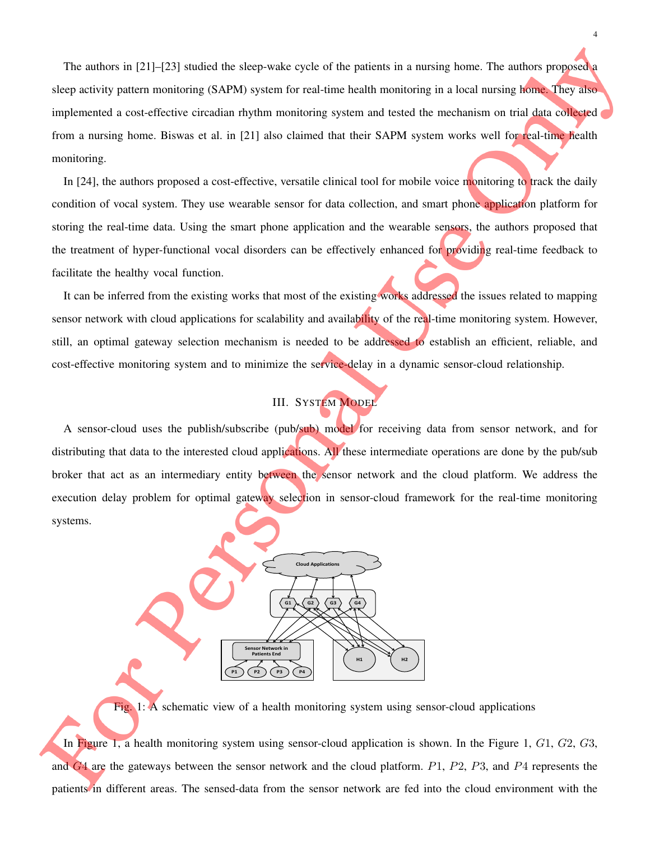The authors in [21]–[23] studied the sleep-wake cycle of the patients in a nursing home. The authors proposed a sleep activity pattern monitoring (SAPM) system for real-time health monitoring in a local nursing home. They also implemented a cost-effective circadian rhythm monitoring system and tested the mechanism on trial data collected from a nursing home. Biswas et al. in [21] also claimed that their SAPM system works well for real-time health monitoring.

In [24], the authors proposed a cost-effective, versatile clinical tool for mobile voice monitoring to track the daily condition of vocal system. They use wearable sensor for data collection, and smart phone application platform for storing the real-time data. Using the smart phone application and the wearable sensors, the authors proposed that the treatment of hyper-functional vocal disorders can be effectively enhanced for providing real-time feedback to facilitate the healthy vocal function.

It can be inferred from the existing works that most of the existing works addressed the issues related to mapping sensor network with cloud applications for scalability and availability of the real-time monitoring system. However, still, an optimal gateway selection mechanism is needed to be addressed to establish an efficient, reliable, and cost-effective monitoring system and to minimize the service-delay in a dynamic sensor-cloud relationship.

## III. SYSTEM MODEL

A sensor-cloud uses the publish/subscribe (pub/sub) model for receiving data from sensor network, and for distributing that data to the interested cloud applications. All these intermediate operations are done by the pub/sub broker that act as an intermediary entity between the sensor network and the cloud platform. We address the execution delay problem for optimal gateway selection in sensor-cloud framework for the real-time monitoring systems.



Fig. 1: A schematic view of a health monitoring system using sensor-cloud applications

In Figure 1, a health monitoring system using sensor-cloud application is shown. In the Figure 1, G1, G2, G3, and  $G4$  are the gateways between the sensor network and the cloud platform.  $P1$ ,  $P2$ ,  $P3$ , and  $P4$  represents the patients in different areas. The sensed-data from the sensor network are fed into the cloud environment with the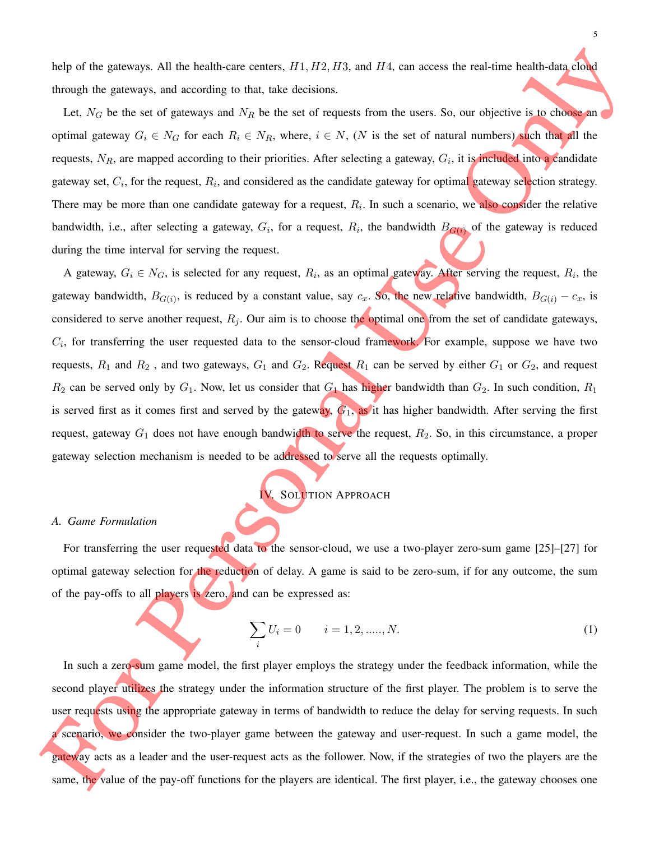help of the gateways. All the health-care centers,  $H1, H2, H3$ , and  $H4$ , can access the real-time health-data cloud through the gateways, and according to that, take decisions.

Let,  $N_G$  be the set of gateways and  $N_R$  be the set of requests from the users. So, our objective is to choose an optimal gateway  $G_i \in N_G$  for each  $R_i \in N_R$ , where,  $i \in N$ ,  $(N$  is the set of natural numbers) such that all the requests,  $N_R$ , are mapped according to their priorities. After selecting a gateway,  $G_i$ , it is included into a candidate gateway set,  $C_i$ , for the request,  $R_i$ , and considered as the candidate gateway for optimal gateway selection strategy. There may be more than one candidate gateway for a request,  $R<sub>i</sub>$ . In such a scenario, we also consider the relative bandwidth, i.e., after selecting a gateway,  $G_i$ , for a request,  $R_i$ , the bandwidth  $B_{G(i)}$  of the gateway is reduced during the time interval for serving the request.

A gateway,  $G_i \in N_G$ , is selected for any request,  $R_i$ , as an optimal gateway. After serving the request,  $R_i$ , the gateway bandwidth,  $B_{G(i)}$ , is reduced by a constant value, say  $c_x$ . So, the new relative bandwidth,  $B_{G(i)} - c_x$ , is considered to serve another request,  $R_j$ . Our aim is to choose the optimal one from the set of candidate gateways,  $C_i$ , for transferring the user requested data to the sensor-cloud framework. For example, suppose we have two requests,  $R_1$  and  $R_2$ , and two gateways,  $G_1$  and  $G_2$ . Request  $R_1$  can be served by either  $G_1$  or  $G_2$ , and request  $R_2$  can be served only by  $G_1$ . Now, let us consider that  $G_1$  has higher bandwidth than  $G_2$ . In such condition,  $R_1$ is served first as it comes first and served by the gateway,  $G_1$ , as it has higher bandwidth. After serving the first request, gateway  $G_1$  does not have enough bandwidth to serve the request,  $R_2$ . So, in this circumstance, a proper gateway selection mechanism is needed to be addressed to serve all the requests optimally.

IV. SOLUTION APPROACH

#### *A. Game Formulation*

For transferring the user requested data to the sensor-cloud, we use a two-player zero-sum game [25]–[27] for optimal gateway selection for the reduction of delay. A game is said to be zero-sum, if for any outcome, the sum of the pay-offs to all players is zero, and can be expressed as:

$$
\sum_{i} U_i = 0 \qquad i = 1, 2, \dots, N. \tag{1}
$$

In such a zero-sum game model, the first player employs the strategy under the feedback information, while the second player utilizes the strategy under the information structure of the first player. The problem is to serve the user requests using the appropriate gateway in terms of bandwidth to reduce the delay for serving requests. In such a scenario, we consider the two-player game between the gateway and user-request. In such a game model, the gateway acts as a leader and the user-request acts as the follower. Now, if the strategies of two the players are the same, the value of the pay-off functions for the players are identical. The first player, i.e., the gateway chooses one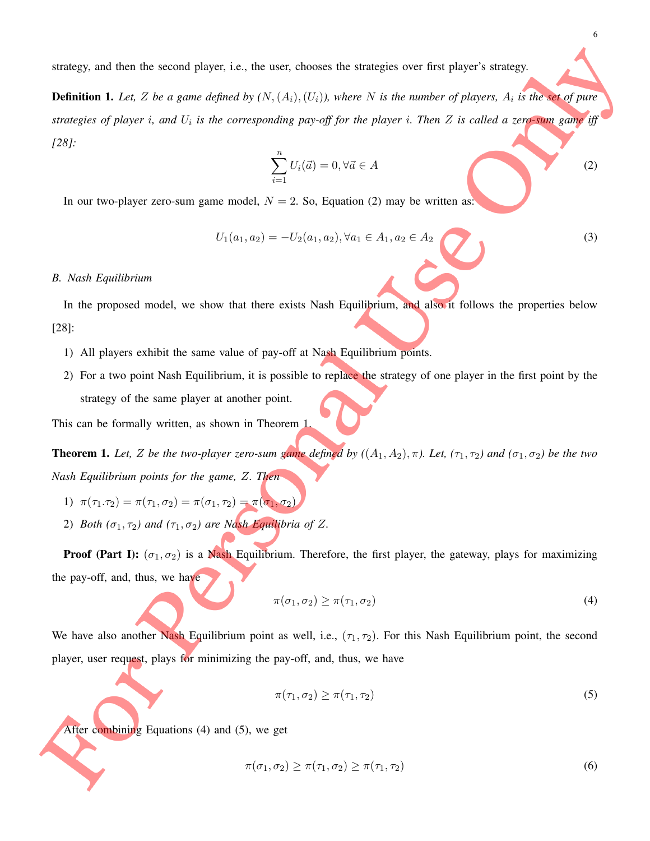strategy, and then the second player, i.e., the user, chooses the strategies over first player's strategy.

Definition 1. *Let,* Z *be a game defined by (*N,(Ai),(Ui)*), where* N *is the number of players,* A<sup>i</sup> *is the set of pure strategies of player* i*, and* U<sup>i</sup> *is the corresponding pay-off for the player* i*. Then* Z *is called a zero-sum game iff [28]:*

$$
\sum_{i=1}^{n} U_i(\vec{a}) = 0, \forall \vec{a} \in A
$$
 (2)

In our two-player zero-sum game model,  $N = 2$ . So, Equation (2) may be written as:

$$
U_1(a_1, a_2) = -U_2(a_1, a_2), \forall a_1 \in A_1, a_2 \in A_2 \tag{3}
$$

#### *B. Nash Equilibrium*

In the proposed model, we show that there exists Nash Equilibrium, and also it follows the properties below [28]:

- 1) All players exhibit the same value of pay-off at Nash Equilibrium points.
- 2) For a two point Nash Equilibrium, it is possible to replace the strategy of one player in the first point by the strategy of the same player at another point.

This can be formally written, as shown in Theorem 1.

**Theorem 1.** Let, Z be the two-player zero-sum game defined by  $((A_1, A_2), \pi)$ . Let,  $(\tau_1, \tau_2)$  and  $(\sigma_1, \sigma_2)$  be the two *Nash Equilibrium points for the game,* Z*. Then*

1) 
$$
\pi(\tau_1.\tau_2) = \pi(\tau_1,\sigma_2) = \pi(\sigma_1,\tau_2) = \pi(\sigma_1,\sigma_2)
$$

2) *Both*  $(\sigma_1, \tau_2)$  *and*  $(\tau_1, \sigma_2)$  *are Nash Equilibria of Z.* 

**Proof (Part I):**  $(\sigma_1, \sigma_2)$  is a Nash Equilibrium. Therefore, the first player, the gateway, plays for maximizing the pay-off, and, thus, we have

$$
\pi(\sigma_1, \sigma_2) \ge \pi(\tau_1, \sigma_2) \tag{4}
$$

We have also another Nash Equilibrium point as well, i.e.,  $(\tau_1, \tau_2)$ . For this Nash Equilibrium point, the second player, user request, plays for minimizing the pay-off, and, thus, we have

$$
\pi(\tau_1, \sigma_2) \ge \pi(\tau_1, \tau_2) \tag{5}
$$

After combining Equations (4) and (5), we get

$$
\pi(\sigma_1, \sigma_2) \ge \pi(\tau_1, \sigma_2) \ge \pi(\tau_1, \tau_2)
$$
\n<sup>(6)</sup>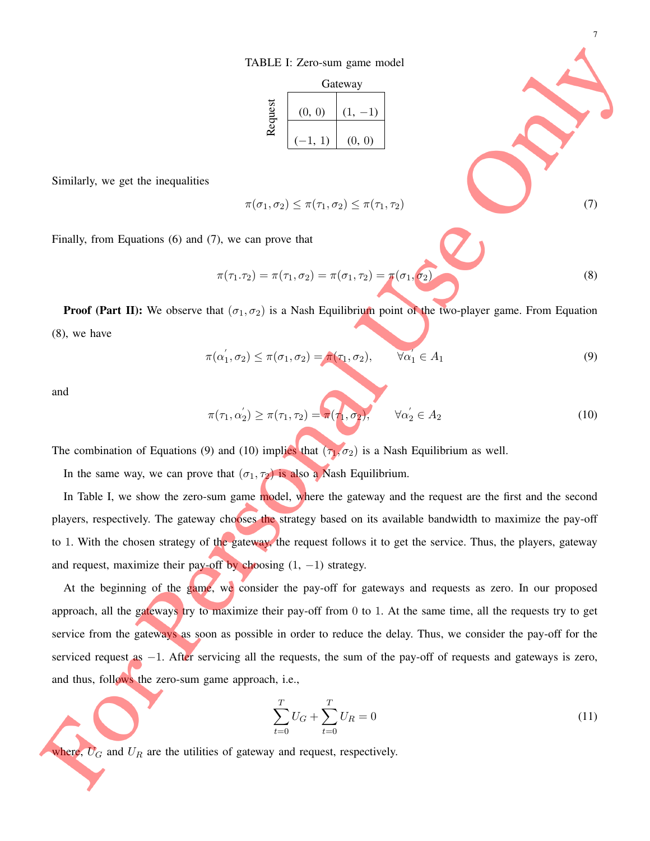TABLE I: Zero-sum game model

|                | Gateway             |        |  |
|----------------|---------------------|--------|--|
| <b>Lequest</b> | (0, 0)<br>$(-1, 1)$ | (0, 0) |  |

Similarly, we get the inequalities

$$
\pi(\sigma_1, \sigma_2) \leq \pi(\tau_1, \sigma_2) \leq \pi(\tau_1, \tau_2)
$$
\n(7)

Finally, from Equations (6) and (7), we can prove that

$$
\pi(\tau_1.\tau_2) = \pi(\tau_1,\sigma_2) = \pi(\sigma_1,\tau_2) = \pi(\sigma_1,\sigma_2)
$$
\n(8)

7

**Proof (Part II):** We observe that  $(\sigma_1, \sigma_2)$  is a Nash Equilibrium point of the two-player game. From Equation (8), we have

$$
\pi(\alpha'_1, \sigma_2) \le \pi(\sigma_1, \sigma_2) = \pi(\tau_1, \sigma_2), \qquad \overline{\forall \alpha'_1} \in A_1 \tag{9}
$$

and

$$
\pi(\tau_1, \alpha_2') \ge \pi(\tau_1, \tau_2) = \pi(\tau_1, \sigma_2), \qquad \forall \alpha_2' \in A_2 \tag{10}
$$

The combination of Equations (9) and (10) implies that  $(\tau_1, \sigma_2)$  is a Nash Equilibrium as well.

In the same way, we can prove that  $(\sigma_1, \tau_2)$  is also a Nash Equilibrium.

In Table I, we show the zero-sum game model, where the gateway and the request are the first and the second players, respectively. The gateway chooses the strategy based on its available bandwidth to maximize the pay-off to 1. With the chosen strategy of the gateway, the request follows it to get the service. Thus, the players, gateway and request, maximize their pay-off by choosing  $(1, -1)$  strategy.

At the beginning of the game, we consider the pay-off for gateways and requests as zero. In our proposed approach, all the gateways try to maximize their pay-off from 0 to 1. At the same time, all the requests try to get service from the gateways as soon as possible in order to reduce the delay. Thus, we consider the pay-off for the serviced request as −1. After servicing all the requests, the sum of the pay-off of requests and gateways is zero, and thus, follows the zero-sum game approach, i.e.,

$$
\sum_{t=0}^{T} U_G + \sum_{t=0}^{T} U_R = 0
$$
\n(11)

where,  $U_G$  and  $U_R$  are the utilities of gateway and request, respectively.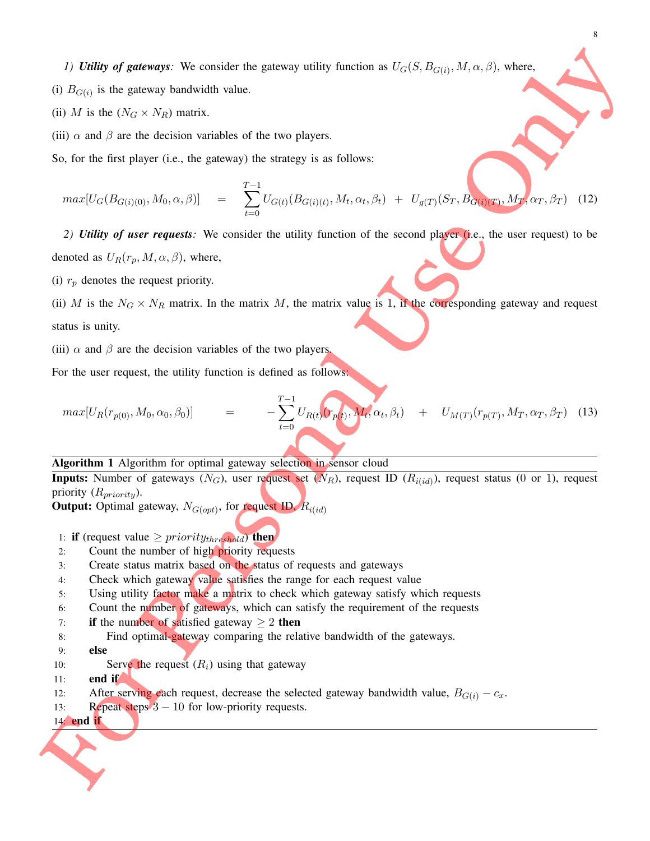*1) Utility of gateways:* We consider the gateway utility function as  $U_G(S, B_{G(i)}, M, \alpha, \beta)$ , where,

- (i)  $B_{G(i)}$  is the gateway bandwidth value.
- (ii) M is the  $(N_G \times N_R)$  matrix.
- (iii)  $\alpha$  and  $\beta$  are the decision variables of the two players.
- So, for the first player (i.e., the gateway) the strategy is as follows:

$$
max[U_G(B_{G(i)(0)}, M_0, \alpha, \beta)] = \sum_{t=0}^{T-1} U_{G(t)}(B_{G(i)(t)}, M_t, \alpha_t, \beta_t) + U_{g(T)}(S_T, B_{G(i)(T)}, M_T, \alpha_T, \beta_T)
$$
(12)

*2) Utility of user requests:* We consider the utility function of the second player (i.e., the user request) to be denoted as  $U_R(r_p, M, \alpha, \beta)$ , where,

(i)  $r_p$  denotes the request priority.

(ii) M is the  $N_G \times N_R$  matrix. In the matrix M, the matrix value is 1, if the corresponding gateway and request status is unity.

(iii)  $\alpha$  and  $\beta$  are the decision variables of the two players.

For the user request, the utility function is defined as follows:

$$
max[U_R(r_{p(0)}, M_0, \alpha_0, \beta_0)] = -\sum_{t=0}^{T-1} U_{R(t)}(r_{p(t)}, M_t, \alpha_t, \beta_t) + U_{M(T)}(r_{p(T)}, M_T, \alpha_T, \beta_T)
$$
(13)

#### Algorithm 1 Algorithm for optimal gateway selection in sensor cloud

**Inputs:** Number of gateways  $(N_G)$ , user request set  $(N_R)$ , request ID  $(R_{i(id)})$ , request status  $(0 \text{ or } 1)$ , request priority  $(R_{priority})$ .

**Output:** Optimal gateway,  $N_{G(opt)}$ , for request ID,  $R_{i(id)}$ 

- 1: if (request value  $\ge$  *priority*<sub>threshold</sub>) then
- 2: Count the number of high priority requests
- 3: Create status matrix based on the status of requests and gateways
- 4: Check which gateway value satisfies the range for each request value
- 5: Using utility factor make a matrix to check which gateway satisfy which requests
- 6: Count the number of gateways, which can satisfy the requirement of the requests
- 7: if the number of satisfied gateway  $\geq 2$  then
- 8: Find optimal-gateway comparing the relative bandwidth of the gateways.
- 9: else
- 10: Serve the request  $(R_i)$  using that gateway
- 11: end if
- 12: After serving each request, decrease the selected gateway bandwidth value,  $B_{G(i)} c_x$ .
- 13: Repeat steps  $3 10$  for low-priority requests.

### 14: end if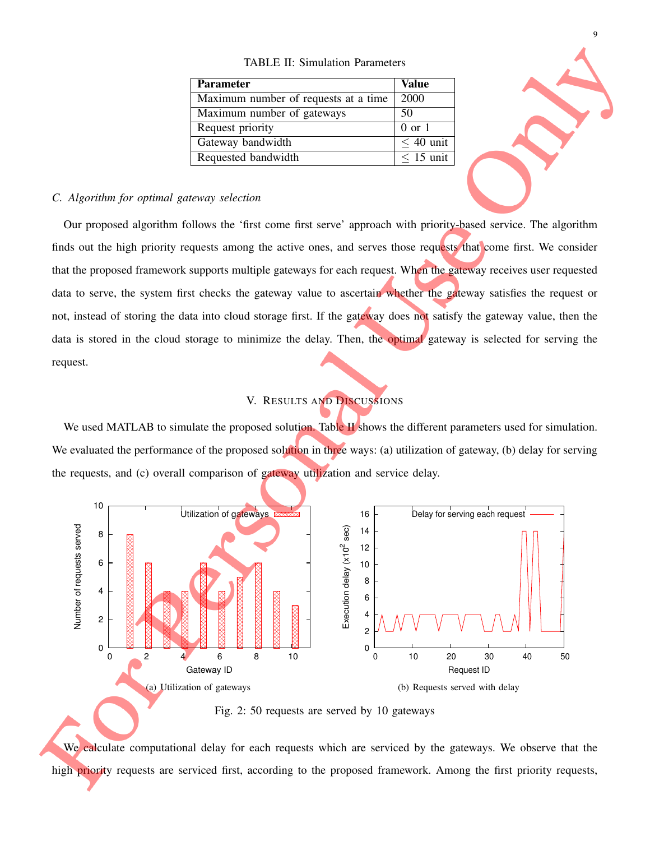#### TABLE II: Simulation Parameters

| Parameter                            | <b>Value</b>      |
|--------------------------------------|-------------------|
| Maximum number of requests at a time | 2000              |
| Maximum number of gateways           | 50                |
| Request priority                     | $0 \text{ or } 1$ |
| Gateway bandwidth                    | $< 40$ unit       |
| Requested bandwidth                  | $< 15$ unit       |



### *C. Algorithm for optimal gateway selection*

Our proposed algorithm follows the 'first come first serve' approach with priority-based service. The algorithm finds out the high priority requests among the active ones, and serves those requests that come first. We consider that the proposed framework supports multiple gateways for each request. When the gateway receives user requested data to serve, the system first checks the gateway value to ascertain whether the gateway satisfies the request or not, instead of storing the data into cloud storage first. If the gateway does not satisfy the gateway value, then the data is stored in the cloud storage to minimize the delay. Then, the optimal gateway is selected for serving the request.

## V. RESULTS AND DISCUSSIONS

We used MATLAB to simulate the proposed solution. Table II shows the different parameters used for simulation. We evaluated the performance of the proposed solution in three ways: (a) utilization of gateway, (b) delay for serving the requests, and (c) overall comparison of gateway utilization and service delay.



Fig. 2: 50 requests are served by 10 gateways

We calculate computational delay for each requests which are serviced by the gateways. We observe that the high priority requests are serviced first, according to the proposed framework. Among the first priority requests,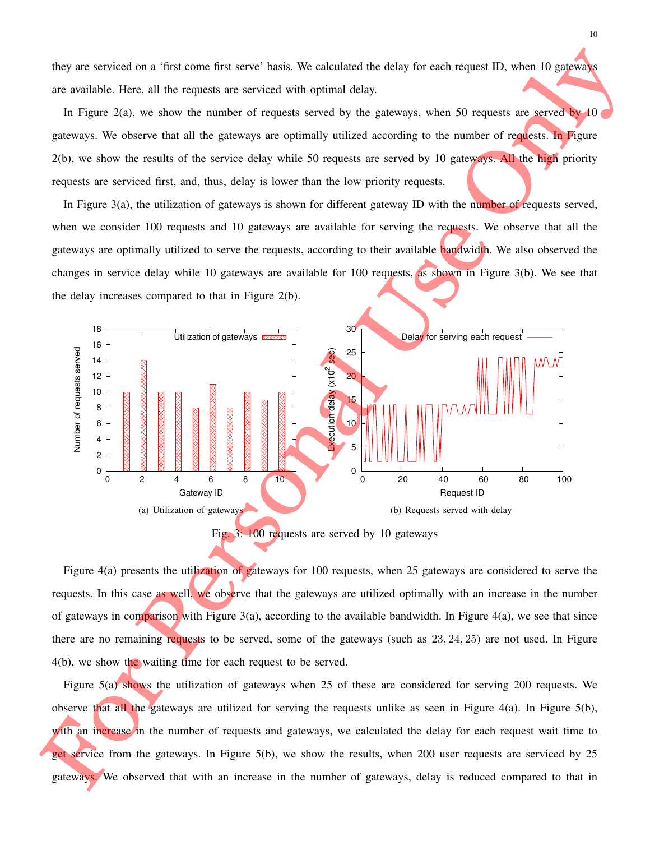they are serviced on a 'first come first serve' basis. We calculated the delay for each request ID, when 10 gateways are available. Here, all the requests are serviced with optimal delay.

In Figure 2(a), we show the number of requests served by the gateways, when 50 requests are served by 10 gateways. We observe that all the gateways are optimally utilized according to the number of requests. In Figure  $2(b)$ , we show the results of the service delay while 50 requests are served by 10 gateways. All the high priority requests are serviced first, and, thus, delay is lower than the low priority requests.

In Figure 3(a), the utilization of gateways is shown for different gateway ID with the number of requests served, when we consider 100 requests and 10 gateways are available for serving the requests. We observe that all the gateways are optimally utilized to serve the requests, according to their available bandwidth. We also observed the changes in service delay while 10 gateways are available for 100 requests, as shown in Figure 3(b). We see that the delay increases compared to that in Figure 2(b).



Fig. 3: 100 requests are served by 10 gateways

Figure 4(a) presents the utilization of gateways for 100 requests, when 25 gateways are considered to serve the requests. In this case as well, we observe that the gateways are utilized optimally with an increase in the number of gateways in comparison with Figure 3(a), according to the available bandwidth. In Figure 4(a), we see that since there are no remaining requests to be served, some of the gateways (such as 23, 24, 25) are not used. In Figure 4(b), we show the waiting time for each request to be served.

Figure 5(a) shows the utilization of gateways when 25 of these are considered for serving 200 requests. We observe that all the gateways are utilized for serving the requests unlike as seen in Figure  $4(a)$ . In Figure  $5(b)$ , with an increase in the number of requests and gateways, we calculated the delay for each request wait time to get service from the gateways. In Figure 5(b), we show the results, when 200 user requests are serviced by 25 gateways. We observed that with an increase in the number of gateways, delay is reduced compared to that in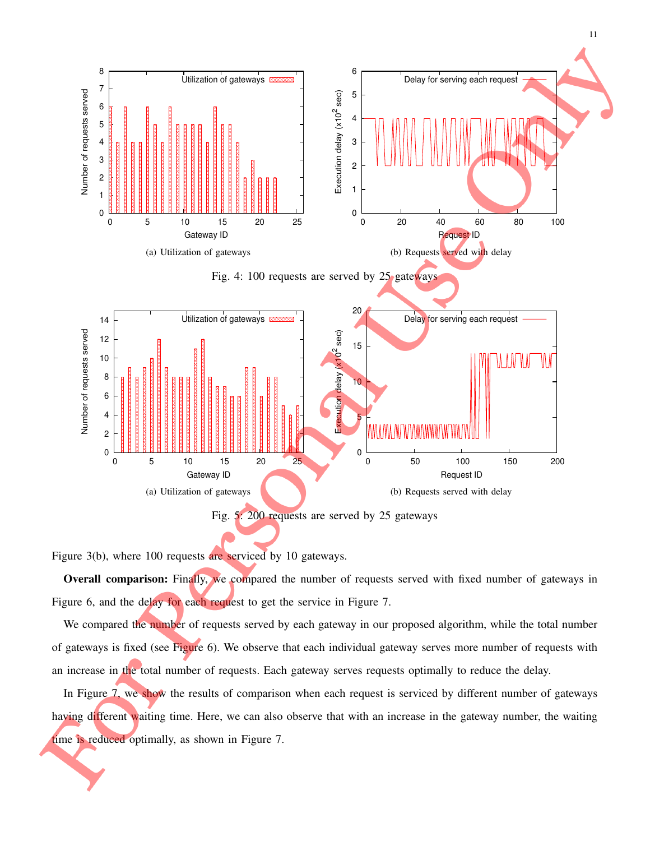

Figure 3(b), where 100 requests are serviced by 10 gateways.

Overall comparison: Finally, we compared the number of requests served with fixed number of gateways in Figure 6, and the delay for each request to get the service in Figure 7.

We compared the number of requests served by each gateway in our proposed algorithm, while the total number of gateways is fixed (see Figure 6). We observe that each individual gateway serves more number of requests with an increase in the total number of requests. Each gateway serves requests optimally to reduce the delay.

In Figure 7, we show the results of comparison when each request is serviced by different number of gateways having different waiting time. Here, we can also observe that with an increase in the gateway number, the waiting time is reduced optimally, as shown in Figure 7.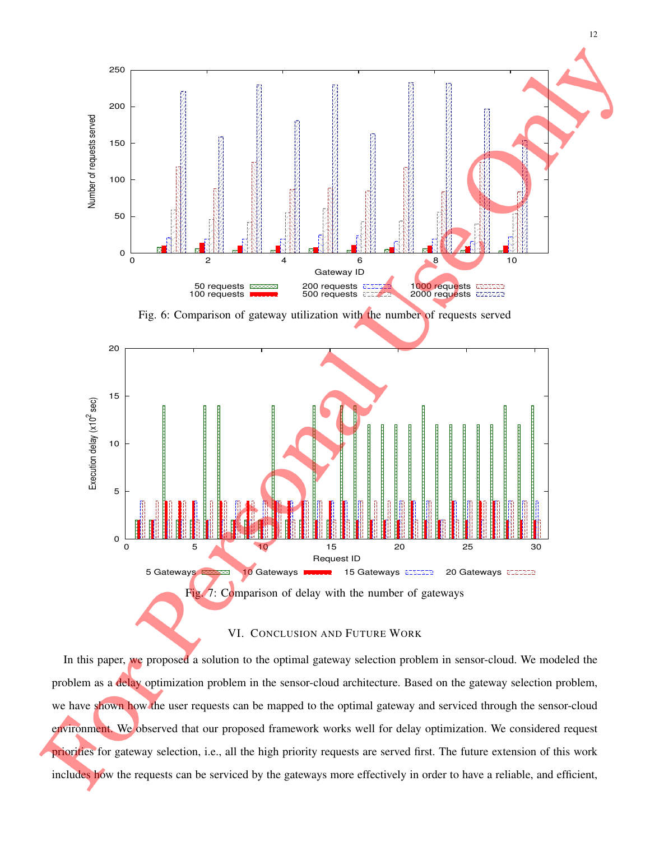

Fig. 6: Comparison of gateway utilization with the number of requests served



#### VI. CONCLUSION AND FUTURE WORK

In this paper, we proposed a solution to the optimal gateway selection problem in sensor-cloud. We modeled the problem as a delay optimization problem in the sensor-cloud architecture. Based on the gateway selection problem, we have shown how the user requests can be mapped to the optimal gateway and serviced through the sensor-cloud environment. We observed that our proposed framework works well for delay optimization. We considered request priorities for gateway selection, i.e., all the high priority requests are served first. The future extension of this work includes how the requests can be serviced by the gateways more effectively in order to have a reliable, and efficient,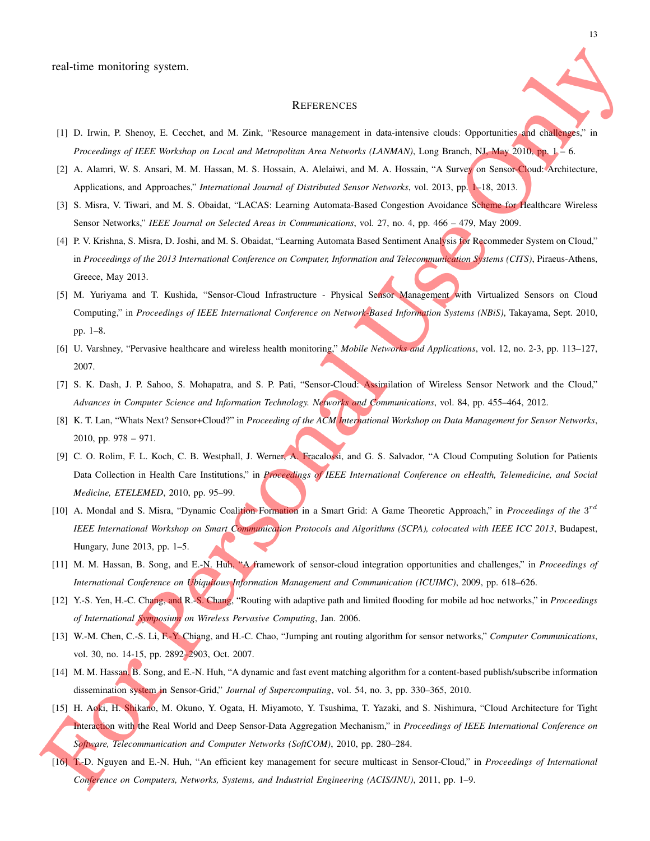#### **REFERENCES**

- [1] D. Irwin, P. Shenoy, E. Cecchet, and M. Zink, "Resource management in data-intensive clouds: Opportunities and challenges," in *Proceedings of IEEE Workshop on Local and Metropolitan Area Networks (LANMAN)*, Long Branch, NJ, May 2010, pp. 1 – 6.
- [2] A. Alamri, W. S. Ansari, M. M. Hassan, M. S. Hossain, A. Alelaiwi, and M. A. Hossain, "A Survey on Sensor-Cloud: Architecture, Applications, and Approaches," *International Journal of Distributed Sensor Networks*, vol. 2013, pp. 1–18, 2013.
- [3] S. Misra, V. Tiwari, and M. S. Obaidat, "LACAS: Learning Automata-Based Congestion Avoidance Scheme for Healthcare Wireless Sensor Networks," *IEEE Journal on Selected Areas in Communications*, vol. 27, no. 4, pp. 466 – 479, May 2009.
- [4] P. V. Krishna, S. Misra, D. Joshi, and M. S. Obaidat, "Learning Automata Based Sentiment Analysis for Recommeder System on Cloud," in *Proceedings of the 2013 International Conference on Computer, Information and Telecommunication Systems (CITS)*, Piraeus-Athens, Greece, May 2013.
- [5] M. Yuriyama and T. Kushida, "Sensor-Cloud Infrastructure Physical Sensor Management with Virtualized Sensors on Cloud Computing," in *Proceedings of IEEE International Conference on Network-Based Information Systems (NBiS)*, Takayama, Sept. 2010, pp. 1–8.
- [6] U. Varshney, "Pervasive healthcare and wireless health monitoring," *Mobile Networks and Applications*, vol. 12, no. 2-3, pp. 113–127, 2007.
- [7] S. K. Dash, J. P. Sahoo, S. Mohapatra, and S. P. Pati, "Sensor-Cloud: Assimilation of Wireless Sensor Network and the Cloud," *Advances in Computer Science and Information Technology. Networks and Communications*, vol. 84, pp. 455–464, 2012.
- [8] K. T. Lan, "Whats Next? Sensor+Cloud?" in *Proceeding of the ACM International Workshop on Data Management for Sensor Networks*, 2010, pp. 978 – 971.
- [9] C. O. Rolim, F. L. Koch, C. B. Westphall, J. Werner, A. Fracalossi, and G. S. Salvador, "A Cloud Computing Solution for Patients Data Collection in Health Care Institutions," in *Proceedings of IEEE International Conference on eHealth, Telemedicine, and Social Medicine, ETELEMED*, 2010, pp. 95–99.
- [10] A. Mondal and S. Misra, "Dynamic Coalition Formation in a Smart Grid: A Game Theoretic Approach," in *Proceedings of the* 3<sup>rd</sup> *IEEE International Workshop on Smart Communication Protocols and Algorithms (SCPA), colocated with IEEE ICC 2013*, Budapest, Hungary, June 2013, pp. 1–5.
- [11] M. M. Hassan, B. Song, and E.-N. Huh, "A framework of sensor-cloud integration opportunities and challenges," in *Proceedings of International Conference on Ubiquitous Information Management and Communication (ICUIMC)*, 2009, pp. 618–626.
- [12] Y.-S. Yen, H.-C. Chang, and R.-S. Chang, "Routing with adaptive path and limited flooding for mobile ad hoc networks," in *Proceedings of International Symposium on Wireless Pervasive Computing*, Jan. 2006.
- [13] W.-M. Chen, C.-S. Li, F.-Y. Chiang, and H.-C. Chao, "Jumping ant routing algorithm for sensor networks," *Computer Communications*, vol. 30, no. 14-15, pp. 2892–2903, Oct. 2007.
- [14] M. M. Hassan, B. Song, and E.-N. Huh, "A dynamic and fast event matching algorithm for a content-based publish/subscribe information dissemination system in Sensor-Grid," *Journal of Supercomputing*, vol. 54, no. 3, pp. 330–365, 2010.
- [15] H. Aoki, H. Shikano, M. Okuno, Y. Ogata, H. Miyamoto, Y. Tsushima, T. Yazaki, and S. Nishimura, "Cloud Architecture for Tight Interaction with the Real World and Deep Sensor-Data Aggregation Mechanism," in *Proceedings of IEEE International Conference on Software, Telecommunication and Computer Networks (SoftCOM)*, 2010, pp. 280–284.
- [16] T.-D. Nguyen and E.-N. Huh, "An efficient key management for secure multicast in Sensor-Cloud," in *Proceedings of International Conference on Computers, Networks, Systems, and Industrial Engineering (ACIS/JNU)*, 2011, pp. 1–9.